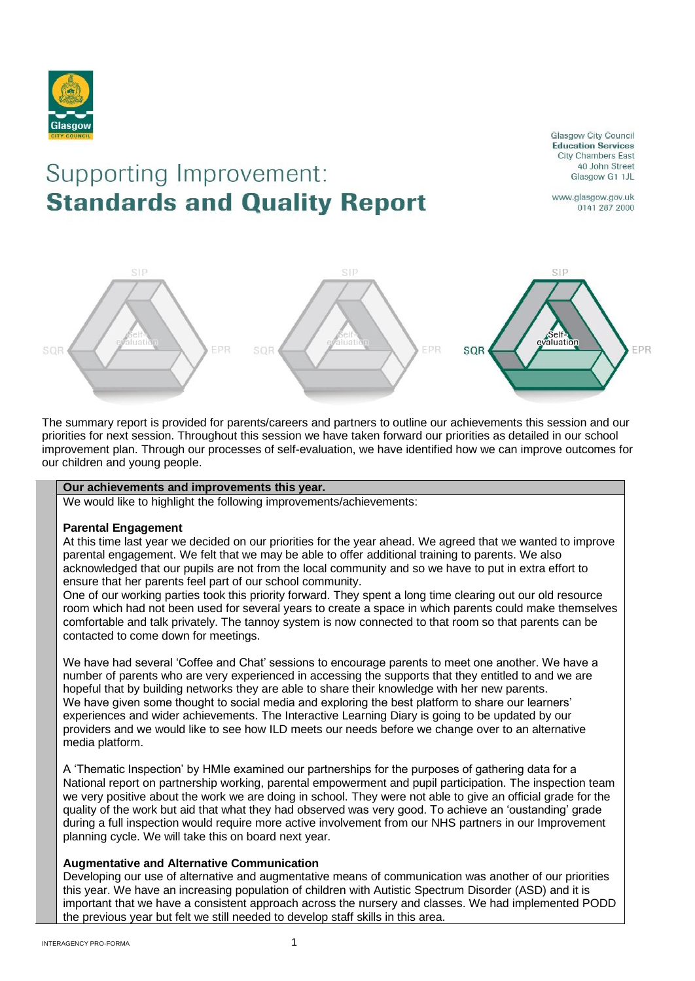

# Supporting Improvement: **Standards and Quality Report**

**Glasgow City Council Education Services** City Chambers East 40 John Street Glasgow G1 1JL

www.glasgow.gov.uk 0141 287 2000



The summary report is provided for parents/careers and partners to outline our achievements this session and our priorities for next session. Throughout this session we have taken forward our priorities as detailed in our school improvement plan. Through our processes of self-evaluation, we have identified how we can improve outcomes for our children and young people.

### **Our achievements and improvements this year.**

We would like to highlight the following improvements/achievements:

#### **Parental Engagement**

At this time last year we decided on our priorities for the year ahead. We agreed that we wanted to improve parental engagement. We felt that we may be able to offer additional training to parents. We also acknowledged that our pupils are not from the local community and so we have to put in extra effort to ensure that her parents feel part of our school community.

One of our working parties took this priority forward. They spent a long time clearing out our old resource room which had not been used for several years to create a space in which parents could make themselves comfortable and talk privately. The tannoy system is now connected to that room so that parents can be contacted to come down for meetings.

We have had several 'Coffee and Chat' sessions to encourage parents to meet one another. We have a number of parents who are very experienced in accessing the supports that they entitled to and we are hopeful that by building networks they are able to share their knowledge with her new parents. We have given some thought to social media and exploring the best platform to share our learners' experiences and wider achievements. The Interactive Learning Diary is going to be updated by our providers and we would like to see how ILD meets our needs before we change over to an alternative media platform.

A 'Thematic Inspection' by HMIe examined our partnerships for the purposes of gathering data for a National report on partnership working, parental empowerment and pupil participation. The inspection team we very positive about the work we are doing in school. They were not able to give an official grade for the quality of the work but aid that what they had observed was very good. To achieve an 'oustanding' grade during a full inspection would require more active involvement from our NHS partners in our Improvement planning cycle. We will take this on board next year.

## **Augmentative and Alternative Communication**

Developing our use of alternative and augmentative means of communication was another of our priorities this year. We have an increasing population of children with Autistic Spectrum Disorder (ASD) and it is important that we have a consistent approach across the nursery and classes. We had implemented PODD the previous year but felt we still needed to develop staff skills in this area.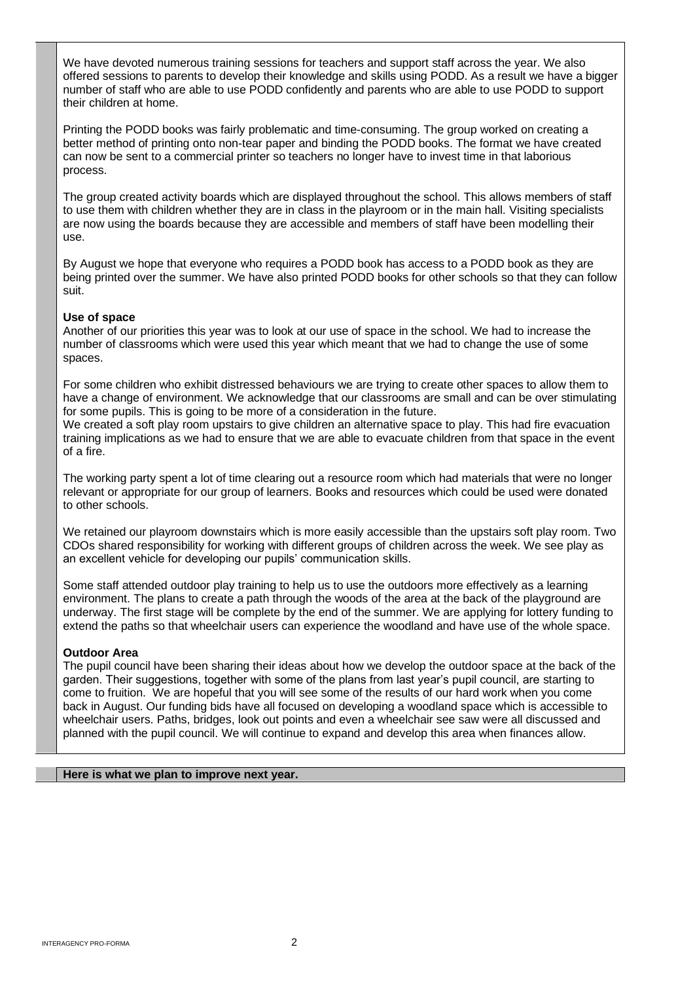We have devoted numerous training sessions for teachers and support staff across the year. We also offered sessions to parents to develop their knowledge and skills using PODD. As a result we have a bigger number of staff who are able to use PODD confidently and parents who are able to use PODD to support their children at home.

Printing the PODD books was fairly problematic and time-consuming. The group worked on creating a better method of printing onto non-tear paper and binding the PODD books. The format we have created can now be sent to a commercial printer so teachers no longer have to invest time in that laborious process.

The group created activity boards which are displayed throughout the school. This allows members of staff to use them with children whether they are in class in the playroom or in the main hall. Visiting specialists are now using the boards because they are accessible and members of staff have been modelling their use.

By August we hope that everyone who requires a PODD book has access to a PODD book as they are being printed over the summer. We have also printed PODD books for other schools so that they can follow suit.

## **Use of space**

Another of our priorities this year was to look at our use of space in the school. We had to increase the number of classrooms which were used this year which meant that we had to change the use of some spaces.

For some children who exhibit distressed behaviours we are trying to create other spaces to allow them to have a change of environment. We acknowledge that our classrooms are small and can be over stimulating for some pupils. This is going to be more of a consideration in the future.

We created a soft play room upstairs to give children an alternative space to play. This had fire evacuation training implications as we had to ensure that we are able to evacuate children from that space in the event of a fire.

The working party spent a lot of time clearing out a resource room which had materials that were no longer relevant or appropriate for our group of learners. Books and resources which could be used were donated to other schools.

We retained our playroom downstairs which is more easily accessible than the upstairs soft play room. Two CDOs shared responsibility for working with different groups of children across the week. We see play as an excellent vehicle for developing our pupils' communication skills.

Some staff attended outdoor play training to help us to use the outdoors more effectively as a learning environment. The plans to create a path through the woods of the area at the back of the playground are underway. The first stage will be complete by the end of the summer. We are applying for lottery funding to extend the paths so that wheelchair users can experience the woodland and have use of the whole space.

#### **Outdoor Area**

The pupil council have been sharing their ideas about how we develop the outdoor space at the back of the garden. Their suggestions, together with some of the plans from last year's pupil council, are starting to come to fruition. We are hopeful that you will see some of the results of our hard work when you come back in August. Our funding bids have all focused on developing a woodland space which is accessible to wheelchair users. Paths, bridges, look out points and even a wheelchair see saw were all discussed and planned with the pupil council. We will continue to expand and develop this area when finances allow.

## **Here is what we plan to improve next year.**